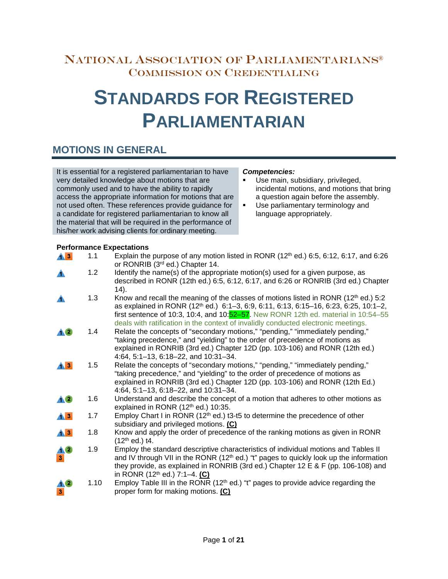### NATIONAL ASSOCIATION OF PARLIAMENTARIANS® COMMISSION ON CREDENTIALING

# **STANDARDS FOR REGISTERED PARLIAMENTARIAN**

### **MOTIONS IN GENERAL**

It is essential for a registered parliamentarian to have very detailed knowledge about motions that are commonly used and to have the ability to rapidly access the appropriate information for motions that are not used often. These references provide guidance for a candidate for registered parliamentarian to know all the material that will be required in the performance of his/her work advising clients for ordinary meeting.

#### *Competencies:*

- Use main, subsidiary, privileged, incidental motions, and motions that bring a question again before the assembly.
- **Use parliamentary terminology and** language appropriately.

#### **Performance Expectations**

| $\mathbf{A}$ 3           | 1.1  | Explain the purpose of any motion listed in RONR $(12th$ ed.) 6:5, 6:12, 6:17, and 6:26<br>or RONRIB (3rd ed.) Chapter 14.                                                                                                                                                                                                                                                |
|--------------------------|------|---------------------------------------------------------------------------------------------------------------------------------------------------------------------------------------------------------------------------------------------------------------------------------------------------------------------------------------------------------------------------|
|                          | 1.2  | Identify the name(s) of the appropriate motion(s) used for a given purpose, as<br>described in RONR (12th ed.) 6:5, 6:12, 6:17, and 6:26 or RONRIB (3rd ed.) Chapter<br>(14).                                                                                                                                                                                             |
| А                        | 1.3  | Know and recall the meaning of the classes of motions listed in RONR $(12th$ ed.) 5:2<br>as explained in RONR (12 <sup>th</sup> ed.) 6:1-3, 6:9, 6:11, 6:13, 6:15-16, 6:23, 6:25, 10:1-2,<br>first sentence of 10:3, 10:4, and 10: $52-57$ . New RONR 12th ed. material in 10:54-55<br>deals with ratification in the context of invalidly conducted electronic meetings. |
|                          | 1.4  | Relate the concepts of "secondary motions," "pending," "immediately pending,"<br>"taking precedence," and "yielding" to the order of precedence of motions as<br>explained in RONRIB (3rd ed.) Chapter 12D (pp. 103-106) and RONR (12th ed.)<br>4:64, 5:1-13, 6:18-22, and 10:31-34.                                                                                      |
| $\triangle$ <sup>3</sup> | 1.5  | Relate the concepts of "secondary motions," "pending," "immediately pending,"<br>"taking precedence," and "yielding" to the order of precedence of motions as<br>explained in RONRIB (3rd ed.) Chapter 12D (pp. 103-106) and RONR (12th Ed.)<br>4:64, 5:1-13, 6:18-22, and 10:31-34.                                                                                      |
| <u> 10</u>               | 1.6  | Understand and describe the concept of a motion that adheres to other motions as<br>explained in RONR $(12th$ ed.) 10:35.                                                                                                                                                                                                                                                 |
| $\triangle$ <sup>3</sup> | 1.7  | Employ Chart I in RONR (12 <sup>th</sup> ed.) t3-t5 to determine the precedence of other<br>subsidiary and privileged motions. (C)                                                                                                                                                                                                                                        |
| $\triangle$ <sup>3</sup> | 1.8  | Know and apply the order of precedence of the ranking motions as given in RONR<br>$(12th$ ed.) t4.                                                                                                                                                                                                                                                                        |
|                          | 1.9  | Employ the standard descriptive characteristics of individual motions and Tables II<br>and IV through VII in the RONR $(12th$ ed.) "t" pages to quickly look up the information<br>they provide, as explained in RONRIB (3rd ed.) Chapter 12 E & F (pp. 106-108) and<br>in RONR (12 <sup>th</sup> ed.) 7:1-4. (C)                                                         |
|                          | 1.10 | Employ Table III in the RONR (12 <sup>th</sup> ed.) "t" pages to provide advice regarding the<br>proper form for making motions. (C)                                                                                                                                                                                                                                      |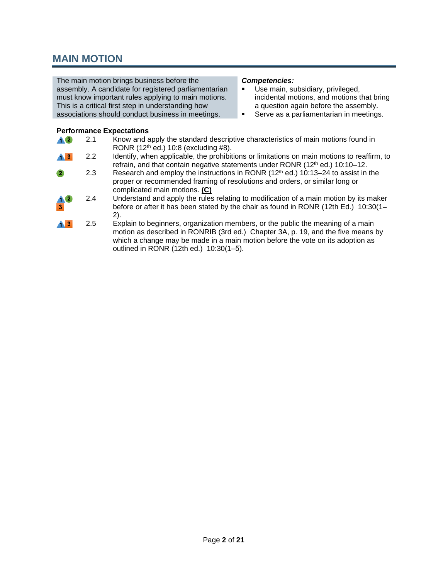### **MAIN MOTION**

The main motion brings business before the assembly. A candidate for registered parliamentarian must know important rules applying to main motions. This is a critical first step in understanding how associations should conduct business in meetings.

#### *Competencies:*

- **Use main, subsidiary, privileged,** incidental motions, and motions that bring a question again before the assembly.
- **Serve as a parliamentarian in meetings.**

#### **Performance Expectations** 2.1 Know and apply the standard descriptive characteristics of main motions found in  $\bm{A}$  $\bm{Q}$ RONR (12<sup>th</sup> ed.) 10:8 (excluding #8).  $\blacktriangle$  3 2.2 Identify, when applicable, the prohibitions or limitations on main motions to reaffirm, to refrain, and that contain negative statements under RONR (12<sup>th</sup> ed.) 10:10-12. 2.3 Research and employ the instructions in RONR  $(12<sup>th</sup>$  ed.) 10:13–24 to assist in the proper or recommended framing of resolutions and orders, or similar long or complicated main motions. **(C)** 2.4 Understand and apply the rules relating to modification of a main motion by its maker before or after it has been stated by the chair as found in RONR (12th Ed.) 10:30(1– 2). 2.5  $\sqrt{3}$ Explain to beginners, organization members, or the public the meaning of a main motion as described in RONRIB (3rd ed.) Chapter 3A, p. 19, and the five means by which a change may be made in a main motion before the vote on its adoption as outlined in RONR (12th ed.) 10:30(1–5).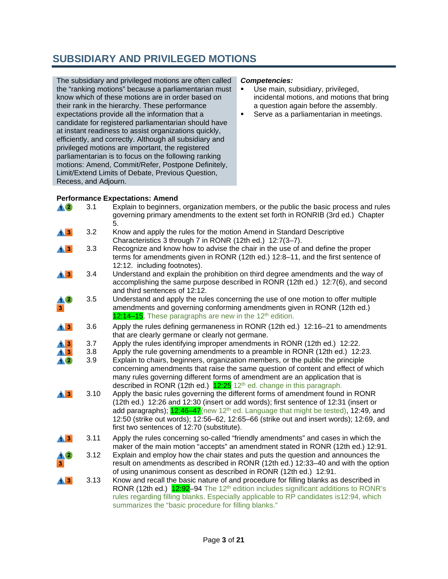## **SUBSIDIARY AND PRIVILEGED MOTIONS**

The subsidiary and privileged motions are often called the "ranking motions" because a parliamentarian must know which of these motions are in order based on their rank in the hierarchy. These performance expectations provide all the information that a candidate for registered parliamentarian should have at instant readiness to assist organizations quickly, efficiently, and correctly. Although all subsidiary and privileged motions are important, the registered parliamentarian is to focus on the following ranking motions: Amend, Commit/Refer, Postpone Definitely, Limit/Extend Limits of Debate, Previous Question, Recess, and Adjourn.

#### *Competencies:*

- **Use main, subsidiary, privileged,** incidental motions, and motions that bring a question again before the assembly.
- **Serve as a parliamentarian in meetings.**

#### **Performance Expectations: Amend**

| $\triangle 2$                     | 3.1  | Explain to beginners, organization members, or the public the basic process and rules<br>governing primary amendments to the extent set forth in RONRIB (3rd ed.) Chapter<br>5.                                                                                                                                                                                                                                 |
|-----------------------------------|------|-----------------------------------------------------------------------------------------------------------------------------------------------------------------------------------------------------------------------------------------------------------------------------------------------------------------------------------------------------------------------------------------------------------------|
| $\mathbf{A}$ <sub>3</sub>         | 3.2  | Know and apply the rules for the motion Amend in Standard Descriptive                                                                                                                                                                                                                                                                                                                                           |
|                                   |      | Characteristics 3 through 7 in RONR (12th ed.) 12:7(3-7).                                                                                                                                                                                                                                                                                                                                                       |
| $\mathbf{A}$ <sub>3</sub>         | 3.3  | Recognize and know how to advise the chair in the use of and define the proper<br>terms for amendments given in RONR (12th ed.) 12:8-11, and the first sentence of<br>12:12. including footnotes).                                                                                                                                                                                                              |
| $\bigwedge$ 3                     | 3.4  | Understand and explain the prohibition on third degree amendments and the way of<br>accomplishing the same purpose described in RONR (12th ed.) 12:7(6), and second<br>and third sentences of 12:12.                                                                                                                                                                                                            |
| $\mathbf{3}$                      | 3.5  | Understand and apply the rules concerning the use of one motion to offer multiple<br>amendments and governing conforming amendments given in RONR (12th ed.)<br>12:14–15. These paragraphs are new in the 12 <sup>th</sup> edition.                                                                                                                                                                             |
| $\mathbf{A}$ 3                    | 3.6  | Apply the rules defining germaneness in RONR (12th ed.) 12:16–21 to amendments<br>that are clearly germane or clearly not germane.                                                                                                                                                                                                                                                                              |
| $\overline{13}$                   | 3.7  | Apply the rules identifying improper amendments in RONR (12th ed.) 12:22.                                                                                                                                                                                                                                                                                                                                       |
| <u>AĎ</u>                         | 3.8  | Apply the rule governing amendments to a preamble in RONR (12th ed.) 12:23.                                                                                                                                                                                                                                                                                                                                     |
|                                   | 3.9  | Explain to chairs, beginners, organization members, or the public the principle<br>concerning amendments that raise the same question of content and effect of which<br>many rules governing different forms of amendment are an application that is<br>described in RONR (12th ed.) $12:25$ 12 <sup>th</sup> ed. change in this paragraph.                                                                     |
| $\bigwedge$ 3                     | 3.10 | Apply the basic rules governing the different forms of amendment found in RONR<br>(12th ed.) 12:26 and 12:30 (insert or add words); first sentence of 12:31 (insert or<br>add paragraphs); 12:46-47(new 12 <sup>th</sup> ed. Language that might be tested), 12:49, and<br>12:50 (strike out words); 12:56–62, 12:65–66 (strike out and insert words); 12:69, and<br>first two sentences of 12:70 (substitute). |
| $\blacktriangle$ $\blacktriangle$ | 3.11 | Apply the rules concerning so-called "friendly amendments" and cases in which the<br>maker of the main motion "accepts" an amendment stated in RONR (12th ed.) 12:91.                                                                                                                                                                                                                                           |
| 3 <sup>2</sup>                    | 3.12 | Explain and employ how the chair states and puts the question and announces the<br>result on amendments as described in RONR (12th ed.) 12:33-40 and with the option<br>of using unanimous consent as described in RONR (12th ed.) 12:91.                                                                                                                                                                       |
| $\triangle$ <sup>3</sup>          | 3.13 | Know and recall the basic nature of and procedure for filling blanks as described in<br>RONR (12th ed.) 12:92-94 The 12 <sup>th</sup> edition includes significant additions to RONR's<br>rules regarding filling blanks. Especially applicable to RP candidates is12:94, which                                                                                                                                 |

summarizes the "basic procedure for filling blanks."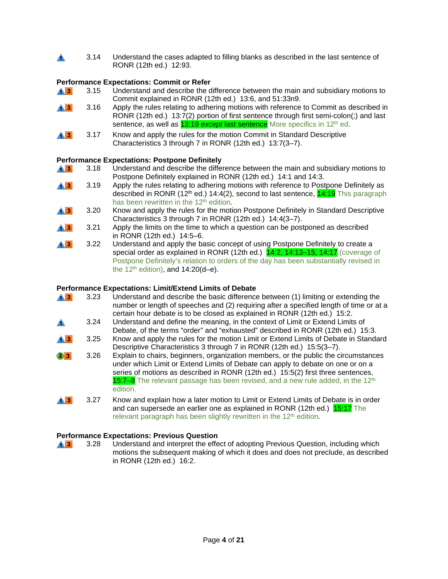3.14 Understand the cases adapted to filling blanks as described in the last sentence of  $\blacktriangle$  . RONR (12th ed.) 12:93.

#### **Performance Expectations: Commit or Refer**

- $\mathbf{A}$   $\mathbf{B}$ 3.15 Understand and describe the difference between the main and subsidiary motions to Commit explained in RONR (12th ed.) 13:6, and 51:33n9.
- $\blacktriangle$  3 3.16 Apply the rules relating to adhering motions with reference to Commit as described in RONR (12th ed.) 13:7(2) portion of first sentence through first semi-colon(;) and last sentence, as well as **13:19** *except* last sentence More specifics in 12<sup>th</sup> ed.
- $\mathbf{A}$  3 3.17 Know and apply the rules for the motion Commit in Standard Descriptive Characteristics 3 through 7 in RONR (12th ed.) 13:7(3–7).

#### **Performance Expectations: Postpone Definitely**

- 3.18 Understand and describe the difference between the main and subsidiary motions to  $\mathbf{A}$  3 Postpone Definitely explained in RONR (12th ed.) 14:1 and 14:3.
- $\blacktriangle$  3 3.19 Apply the rules relating to adhering motions with reference to Postpone Definitely as described in RONR (12<sup>th</sup> ed.) 14:4(2), second to last sentence,  $14:19$  This paragraph has been rewritten in the 12<sup>th</sup> edition.
- $\blacktriangle$  3 3.20 Know and apply the rules for the motion Postpone Definitely in Standard Descriptive Characteristics 3 through 7 in RONR (12th ed.) 14:4(3–7).
- $\blacktriangle$  3 3.21 Apply the limits on the time to which a question can be postponed as described in RONR (12th ed.) 14:5–6.
- $\mathbf{A}$  3 3.22 Understand and apply the basic concept of using Postpone Definitely to create a special order as explained in RONR (12th ed.) 14:2, 14:13-15, 14:17 (coverage of Postpone Definitely's relation to orders of the day has been substantially revised in the  $12<sup>th</sup>$  edition), and  $14:20(d-e)$ .

#### **Performance Expectations: Limit/Extend Limits of Debate**

- $\mathbf{A}$  3 3.23 Understand and describe the basic difference between (1) limiting or extending the number or length of speeches and (2) requiring after a specified length of time or at a certain hour debate is to be closed as explained in RONR (12th ed.) 15:2. 3.24 Understand and define the meaning, in the context of Limit or Extend Limits of A. Debate, of the terms "order" and "exhausted" described in RONR (12th ed.) 15:3.  $\overline{43}$ 3.25 Know and apply the rules for the motion Limit or Extend Limits of Debate in Standard Descriptive Characteristics 3 through 7 in RONR (12th ed.) 15:5(3-7).  $2 \mid 3 \mid$ 3.26 Explain to chairs, beginners, organization members, or the public the circumstances under which Limit or Extend Limits of Debate can apply to debate on one or on a series of motions as described in RONR (12th ed.) 15:5(2) first three sentences, 15:7–8 The relevant passage has been revised, and a new rule added, in the 12<sup>th</sup> edition.  $\blacktriangle$  3 3.27 Know and explain how a later motion to Limit or Extend Limits of Debate is in order
- and can supersede an earlier one as explained in RONR (12th ed.) 15:17 The relevant paragraph has been slightly rewritten in the 12<sup>th</sup> edition.

#### **Performance Expectations: Previous Question**

3.28 Understand and interpret the effect of adopting Previous Question, including which  $\mathbf{A}$  3 motions the subsequent making of which it does and does not preclude, as described in RONR (12th ed.) 16:2.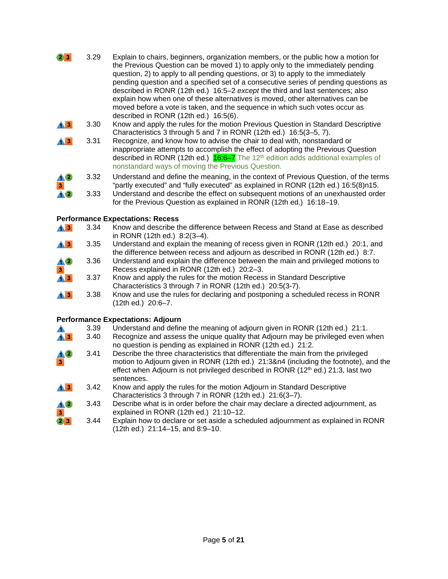- $23$ 3.29 Explain to chairs, beginners, organization members, or the public how a motion for the Previous Question can be moved 1) to apply only to the immediately pending question, 2) to apply to all pending questions, or 3) to apply to the immediately pending question and a specified set of a consecutive series of pending questions as described in RONR (12th ed.) 16:5–2 *except* the third and last sentences; also explain how when one of these alternatives is moved, other alternatives can be moved before a vote is taken, and the sequence in which such votes occur as described in RONR (12th ed.) 16:5(6).
- $\blacktriangle$  3 3.30 Know and apply the rules for the motion Previous Question in Standard Descriptive Characteristics 3 through 5 and 7 in RONR (12th ed.) 16:5(3–5, 7).
- $\blacktriangle$  3 3.31 Recognize, and know how to advise the chair to deal with, nonstandard or inappropriate attempts to accomplish the effect of adopting the Previous Question described in RONR (12th ed.)  $16.6-7$  The 12<sup>th</sup> edition adds additional examples of nonstandard ways of moving the Previous Question.
- 3.32 Understand and define the meaning, in the context of Previous Question, of the terms 10 "partly executed" and "fully executed" as explained in RONR (12th ed.) 16:5(8)n15.  $3<sub>1</sub>$ 3.33 Understand and describe the effect on subsequent motions of an unexhausted order  $\triangle$ 
	- for the Previous Question as explained in RONR (12th ed.) 16:18–19.

#### **Performance Expectations: Recess**

- 3.34 Know and describe the difference between Recess and Stand at Ease as described  $\mathbf{A}$  3 in RONR (12th ed.) 8:2(3–4).  $\mathbf{A}$  3 3.35 Understand and explain the meaning of recess given in RONR (12th ed.) 20:1, and
- the difference between recess and adjourn as described in RONR (12th ed.) 8:7.
- **AO** 3.36 Understand and explain the difference between the main and privileged motions to Recess explained in RONR (12th ed.) 20:2–3.  $\overline{\mathbf{3}}$
- 3.37 Know and apply the rules for the motion Recess in Standard Descriptive  $\mathbf{A}$   $\mathbf{B}$ Characteristics 3 through 7 in RONR (12th ed.) 20:5(3-7).
- $\overline{4}$  3 3.38 Know and use the rules for declaring and postponing a scheduled recess in RONR (12th ed.) 20:6–7.

#### **Performance Expectations: Adjourn**

- 3.39 Understand and define the meaning of adjourn given in RONR (12th ed.) 21:1.<br>3.40 Recognize and assess the unique quality that Adjourn may be privileged even w ▲
- $\mathbf{A}$  3 Recognize and assess the unique quality that Adjourn may be privileged even when no question is pending as explained in RONR (12th ed.) 21:2.
- 3.41 Describe the three characteristics that differentiate the main from the privileged 10 motion to Adjourn given in RONR (12th ed.) 21:3&n4 (including the footnote), and the  $\overline{\mathbf{3}}$ effect when Adjourn is not privileged described in RONR (12<sup>th</sup> ed.) 21:3, last two sentences.
- $\mathbf{A}$  3 3.42 Know and apply the rules for the motion Adjourn in Standard Descriptive Characteristics 3 through 7 in RONR (12th ed.) 21:6(3–7).
- 10 3.43 Describe what is in order before the chair may declare a directed adjournment, as explained in RONR (12th ed.) 21:10–12.  $\overline{\mathbf{3}}$
- $23$ 3.44 Explain how to declare or set aside a scheduled adjournment as explained in RONR (12th ed.) 21:14–15, and 8:9–10.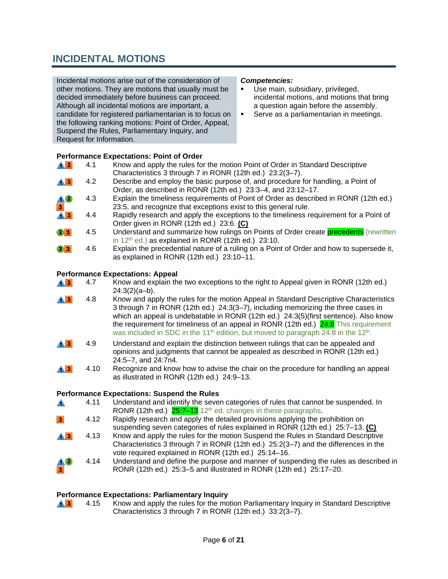### **INCIDENTAL MOTIONS**

Incidental motions arise out of the consideration of other motions. They are motions that usually must be decided immediately before business can proceed. Although all incidental motions are important, a candidate for registered parliamentarian is to focus on the following ranking motions: Point of Order, Appeal, Suspend the Rules, Parliamentary Inquiry, and Request for Information.

#### *Competencies:*

- Use main, subsidiary, privileged, incidental motions, and motions that bring a question again before the assembly.
- **Serve as a parliamentarian in meetings.**

#### **Performance Expectations: Point of Order**

| $\mathbf{A}$ 3            | 4.1                | Know and apply the rules for the motion Point of Order in Standard Descriptive          |
|---------------------------|--------------------|-----------------------------------------------------------------------------------------|
|                           |                    | Characteristics 3 through 7 in RONR (12th ed.) 23:2(3-7).                               |
| $\mathbf{A}$ $\mathbf{B}$ | 4.2                | Describe and employ the basic purpose of, and procedure for handling, a Point of        |
|                           |                    | Order, as described in RONR (12th ed.) 23:3-4, and 23:12-17.                            |
| $\frac{4}{3}$             | 4.3                | Explain the timeliness requirements of Point of Order as described in RONR (12th ed.)   |
|                           |                    | 23:5, and recognize that exceptions exist to this general rule.                         |
| $\mathbf{A}$ $\mathbf{B}$ | 4.4                | Rapidly research and apply the exceptions to the timeliness requirement for a Point of  |
|                           |                    | Order given in RONR (12th ed.) 23:6. (C)                                                |
| 23                        | 4.5                | Understand and summarize how rulings on Points of Order create precedents (rewritten    |
|                           |                    | in $12th$ ed.) as explained in RONR (12th ed.) 23:10.                                   |
| $\sim$                    | $\Lambda$ $\Omega$ | Evolain the precedential nature of a ruling on a Point of Order and how to supersede it |

#### 4.6 Explain the precedential nature of a ruling on a Point of Order and how to supersede it, 2, S. as explained in RONR (12th ed.) 23:10–11.

#### **Performance Expectations: Appeal**

| $\bigwedge$ 3 | 4.7 | Know and explain the two exceptions to the right to Appeal given in RONR (12th ed.) |
|---------------|-----|-------------------------------------------------------------------------------------|
|               |     | $24:3(2)(a-b)$ .                                                                    |

- 4.8 Know and apply the rules for the motion Appeal in Standard Descriptive Characteristics  $\blacktriangle$  3 3 through 7 in RONR (12th ed.) 24:3(3–7), including memorizing the three cases in which an appeal is undebatable in RONR (12th ed.) 24:3(5)(first sentence). Also know the requirement for timeliness of an appeal in RONR (12th ed.)  $24:8$  This requirement was included in SDC in the 11<sup>th</sup> edition, but moved to paragraph 24:8 in the 12<sup>th</sup>.
- 4.9 Understand and explain the distinction between rulings that can be appealed and  $\mathbf{A}$   $\mathbf{B}$ opinions and judgments that cannot be appealed as described in RONR (12th ed.) 24:5–7, and 24:7n4.
- $\mathbf{A}$  3 4.10 Recognize and know how to advise the chair on the procedure for handling an appeal as illustrated in RONR (12th ed.) 24:9–13.

## **Performance Expectations: Suspend the Rules**<br>**A** 4.11 Understand and identify the seve

- Understand and identify the seven categories of rules that cannot be suspended. In A RONR (12th ed.)  $25:7-13$  12<sup>th</sup> ed. changes in these paragraphs.
- 4.12 Rapidly research and apply the detailed provisions applying the prohibition on suspending seven categories of rules explained in RONR (12th ed.) 25:7–13. **(C)**
- 4.13 Know and apply the rules for the motion Suspend the Rules in Standard Descriptive  $A$   $3$ Characteristics 3 through 7 in RONR (12th ed.) 25:2(3–7) and the differences in the vote required explained in RONR (12th ed.) 25:14–16.
- **A** 2 4.14 Understand and define the purpose and manner of suspending the rules as described in RONR (12th ed.) 25:3–5 and illustrated in RONR (12th ed.) 25:17–20.

## **Performance Expectations: Parliamentary Inquiry**<br>**A.3** 4.15 Know and apply the rules for the mo

Know and apply the rules for the motion Parliamentary Inquiry in Standard Descriptive  $\mathbf{A}$  3 Characteristics 3 through 7 in RONR (12th ed.) 33:2(3–7).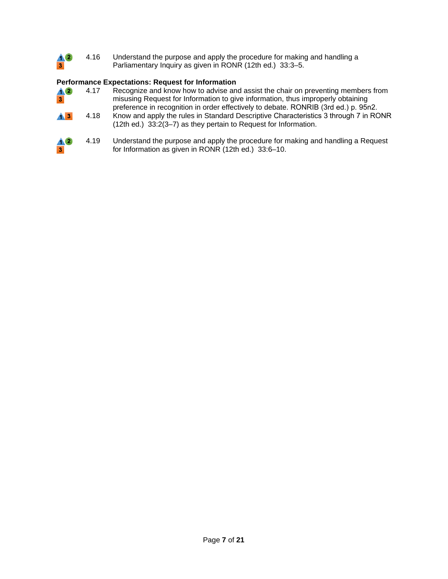

#### **Performance Expectations: Request for Information**

| $\triangle$<br>3 <sup>1</sup>               | 4.17 | Recognize and know how to advise and assist the chair on preventing members from<br>misusing Request for Information to give information, thus improperly obtaining<br>preference in recognition in order effectively to debate. RONRIB (3rd ed.) p. 95n2. |
|---------------------------------------------|------|------------------------------------------------------------------------------------------------------------------------------------------------------------------------------------------------------------------------------------------------------------|
| $\triangle$ <sup>3</sup>                    | 4.18 | Know and apply the rules in Standard Descriptive Characteristics 3 through 7 in RONR<br>(12th ed.) 33:2(3-7) as they pertain to Request for Information.                                                                                                   |
| $\bm{\Lambda}$ 2<br>$\overline{\mathbf{3}}$ | 4.19 | Understand the purpose and apply the procedure for making and handling a Request<br>for Information as given in RONR (12th ed.) 33:6-10.                                                                                                                   |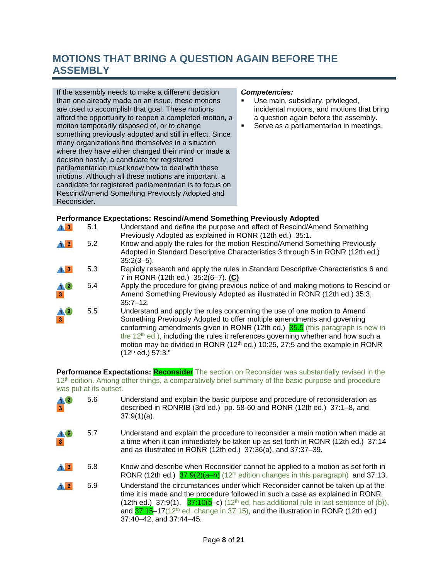## **MOTIONS THAT BRING A QUESTION AGAIN BEFORE THE ASSEMBLY**

If the assembly needs to make a different decision than one already made on an issue, these motions are used to accomplish that goal. These motions afford the opportunity to reopen a completed motion, a motion temporarily disposed of, or to change something previously adopted and still in effect. Since many organizations find themselves in a situation where they have either changed their mind or made a decision hastily, a candidate for registered parliamentarian must know how to deal with these motions. Although all these motions are important, a candidate for registered parliamentarian is to focus on Rescind/Amend Something Previously Adopted and Reconsider.

#### *Competencies:*

- Use main, subsidiary, privileged, incidental motions, and motions that bring a question again before the assembly.
- **Serve as a parliamentarian in meetings.**

#### **Performance Expectations: Rescind/Amend Something Previously Adopted**

| $\mathbf{A}$ 3    | 5.1 | Understand and define the purpose and effect of Rescind/Amend Something<br>Previously Adopted as explained in RONR (12th ed.) 35:1.                                                                                                                                                                                                                                                                                     |
|-------------------|-----|-------------------------------------------------------------------------------------------------------------------------------------------------------------------------------------------------------------------------------------------------------------------------------------------------------------------------------------------------------------------------------------------------------------------------|
| $\mathbf{A}$ 3    | 5.2 | Know and apply the rules for the motion Rescind/Amend Something Previously<br>Adopted in Standard Descriptive Characteristics 3 through 5 in RONR (12th ed.)<br>$35:2(3-5)$ .                                                                                                                                                                                                                                           |
| $\bf{A}$ $\bf{B}$ | 5.3 | Rapidly research and apply the rules in Standard Descriptive Characteristics 6 and<br>7 in RONR (12th ed.) 35:2(6-7). (C)                                                                                                                                                                                                                                                                                               |
| $\frac{1}{3}$     | 5.4 | Apply the procedure for giving previous notice of and making motions to Rescind or<br>Amend Something Previously Adopted as illustrated in RONR (12th ed.) 35:3,<br>$35:7 - 12.$                                                                                                                                                                                                                                        |
| $\frac{4}{3}$     | 5.5 | Understand and apply the rules concerning the use of one motion to Amend<br>Something Previously Adopted to offer multiple amendments and governing<br>conforming amendments given in RONR (12th ed.) 35.5 (this paragraph is new in<br>the $12th$ ed.), including the rules it references governing whether and how such a<br>motion may be divided in RONR (12 <sup>th</sup> ed.) 10:25, 27:5 and the example in RONR |

(12th ed.) 57:3."

**Performance Expectations: Reconsider** The section on Reconsider was substantially revised in the 12<sup>th</sup> edition. Among other things, a comparatively brief summary of the basic purpose and procedure was put at its outset.

| $\frac{4}{3}$             | 5.6 | Understand and explain the basic purpose and procedure of reconsideration as<br>described in RONRIB (3rd ed.) pp. 58-60 and RONR (12th ed.) 37:1-8, and<br>$37:9(1)(a)$ .                                                                                                                                                                                                                            |
|---------------------------|-----|------------------------------------------------------------------------------------------------------------------------------------------------------------------------------------------------------------------------------------------------------------------------------------------------------------------------------------------------------------------------------------------------------|
| $\frac{4}{3}$             | 5.7 | Understand and explain the procedure to reconsider a main motion when made at<br>a time when it can immediately be taken up as set forth in RONR (12th ed.) 37:14<br>and as illustrated in RONR (12th ed.) 37:36(a), and 37:37-39.                                                                                                                                                                   |
| $\mathbf{A}$ $\mathbf{B}$ | 5.8 | Know and describe when Reconsider cannot be applied to a motion as set forth in<br>RONR (12th ed.) $37:9(2)(a-h)$ (12 <sup>th</sup> edition changes in this paragraph) and 37:13.                                                                                                                                                                                                                    |
| $\mathbf{A}$ $\mathbf{B}$ | 5.9 | Understand the circumstances under which Reconsider cannot be taken up at the<br>time it is made and the procedure followed in such a case as explained in RONR<br>(12th ed.) 37:9(1), $37:10(b-c)$ (12 <sup>th</sup> ed. has additional rule in last sentence of (b)),<br>and $37:15$ –17(12 <sup>th</sup> ed. change in 37:15), and the illustration in RONR (12th ed.)<br>37:40-42, and 37:44-45. |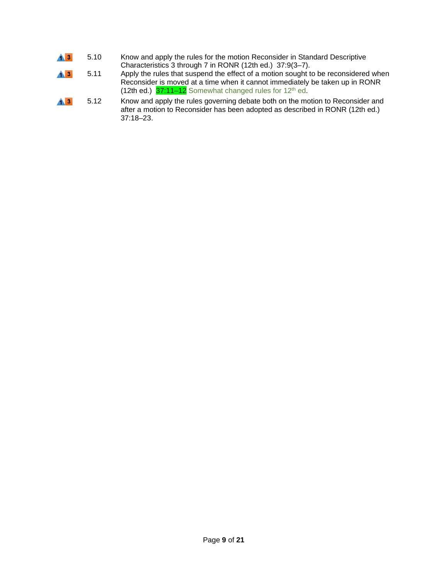- 5.10 Know and apply the rules for the motion Reconsider in Standard Descriptive  $\overline{1}$   $\overline{3}$ Characteristics 3 through 7 in RONR (12th ed.) 37:9(3–7).
- $\overline{1}$   $\overline{3}$ 5.11 Apply the rules that suspend the effect of a motion sought to be reconsidered when Reconsider is moved at a time when it cannot immediately be taken up in RONR (12th ed.)  $37:11-12$  Somewhat changed rules for 12<sup>th</sup> ed.
- 5.12 Know and apply the rules governing debate both on the motion to Reconsider and  $\blacktriangle$  3 after a motion to Reconsider has been adopted as described in RONR (12th ed.) 37:18–23.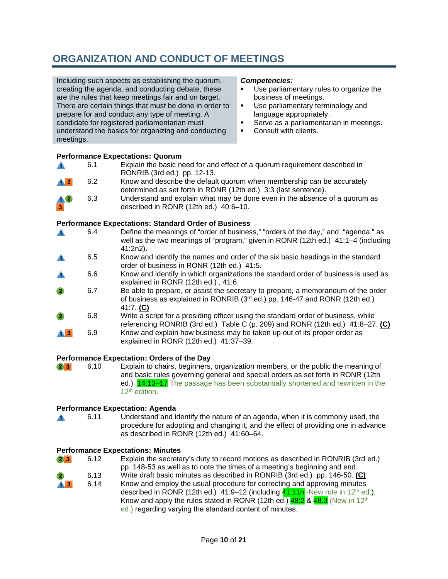## **ORGANIZATION AND CONDUCT OF MEETINGS**

Including such aspects as establishing the quorum, creating the agenda, and conducting debate, these are the rules that keep meetings fair and on target. There are certain things that must be done in order to prepare for and conduct any type of meeting. A candidate for registered parliamentarian must understand the basics for organizing and conducting meetings.

#### *Competencies:*

- Use parliamentary rules to organize the business of meetings.
- Use parliamentary terminology and language appropriately.
- **Serve as a parliamentarian in meetings.**
- **Consult with clients.**

#### **Performance Expectations: Quorum**

|                           |     | Explain the basic need for and effect of a quorum requirement described in |
|---------------------------|-----|----------------------------------------------------------------------------|
|                           |     | RONRIB (3rd ed.) pp. 12-13.                                                |
| $\mathbf{A}$ $\mathbf{B}$ | 6.2 | Know and describe the default quorum when membership can be accurately     |

- determined as set forth in RONR (12th ed.) 3:3 (last sentence).
- 6.3 Understand and explain what may be done even in the absence of a quorum as described in RONR (12th ed.) 40:6–10.

#### **Performance Expectations: Standard Order of Business**

- 6.4 Define the meanings of "order of business," "orders of the day," and "agenda," as  $\blacktriangle$ well as the two meanings of "program," given in RONR (12th ed.) 41:1-4 (including 41:2n2).
- 6.5 Know and identify the names and order of the six basic headings in the standard order of business in RONR (12th ed.) 41:5.
- 6.6 Know and identify in which organizations the standard order of business is used as А. explained in RONR (12th ed.) , 41:6.
- $\bullet$ 6.7 Be able to prepare, or assist the secretary to prepare, a memorandum of the order of business as explained in RONRIB  $(3<sup>rd</sup>$  ed.) pp. 146-47 and RONR (12th ed.) 41:7. **(C)**
- 6.8 Write a script for a presiding officer using the standard order of business, while referencing RONRIB (3rd ed.) Table C (p. 209) and RONR (12th ed.) 41:8–27. **(C)**
- $\mathbf{A}$  3 6.9 Know and explain how business may be taken up out of its proper order as explained in RONR (12th ed.) 41:37–39.

#### **Performance Expectation: Orders of the Day**

 $23$ 6.10 Explain to chairs, beginners, organization members, or the public the meaning of and basic rules governing general and special orders as set forth in RONR (12th ed.) **14:13–17** The passage has been substantially shortened and rewritten in the 12<sup>th</sup> edition.

#### **Performance Expectation: Agenda**

 $\blacktriangle$ 6.11 Understand and identify the nature of an agenda, when it is commonly used, the procedure for adopting and changing it, and the effect of providing one in advance as described in RONR (12th ed.) 41:60–64.

#### **Performance Expectations: Minutes**

- $2 \quad 3$ 6.12 Explain the secretary's duty to record motions as described in RONRIB (3rd ed.) pp. 148-53 as well as to note the times of a meeting's beginning and end.
- Write draft basic minutes as described in RONRIB (3rd ed.) pp. 146-50. **(C)** 6.13 Know and employ the usual procedure for correcting and approving minutes  $\hat{1}$  3 6.14 described in RONR (12th ed.) 41:9–12 (including  $41:11n$ -New rule in 12<sup>th</sup> ed.).
	- Know and apply the rules stated in RONR (12th ed.)  $48.2 \& 48.3$  (New in 12<sup>th</sup> ed.) regarding varying the standard content of minutes.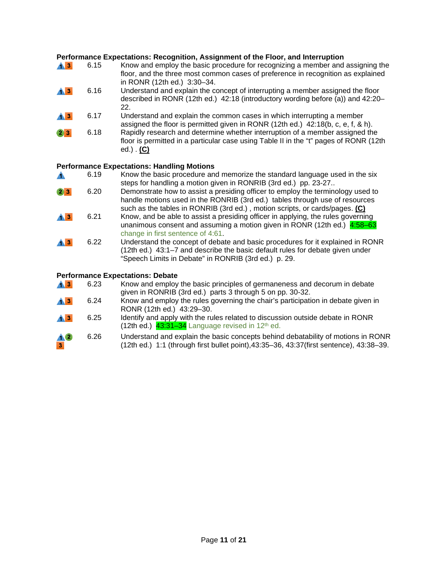#### **Performance Expectations: Recognition, Assignment of the Floor, and Interruption**

| $\mathbf{A}$ 3                                     | 6.15 | Know and employ the basic procedure for recognizing a member and assigning the<br>floor, and the three most common cases of preference in recognition as explained<br>in RONR (12th ed.) 3:30-34. |
|----------------------------------------------------|------|---------------------------------------------------------------------------------------------------------------------------------------------------------------------------------------------------|
| $\mathbf{A}$ $\mathbf{B}$                          | 6.16 | Understand and explain the concept of interrupting a member assigned the floor<br>described in RONR (12th ed.) 42:18 (introductory wording before (a)) and 42:20–<br>22.                          |
| $\mathbf{A}$ $\mathbf{B}$                          | 6.17 | Understand and explain the common cases in which interrupting a member<br>assigned the floor is permitted given in RONR $(12th ed.)$ 42:18(b, c, e, f, & h).                                      |
| $\begin{array}{ c c }\n\hline\n2 & 3\n\end{array}$ | 6.18 | Rapidly research and determine whether interruption of a member assigned the<br>floor is permitted in a particular case using Table II in the "t" pages of RONR (12th<br>ed.) $(C)$               |
| <b>Performance Expectations: Handling Motions</b>  |      |                                                                                                                                                                                                   |

#### **Performance Expectations: Handling Motions**

6.19 Know the basic procedure and memorize the standard language used in the six steps for handling a motion given in RONRIB (3rd ed.) pp. 23-27.. 6.20 Demonstrate how to assist a presiding officer to employ the terminology used to  $2 \mid 3 \mid$ handle motions used in the RONRIB (3rd ed.) tables through use of resources such as the tables in RONRIB (3rd ed.) , motion scripts, or cards/pages. **(C)** 6.21 Know, and be able to assist a presiding officer in applying, the rules governing  $\mathbf{A}$  3 unanimous consent and assuming a motion given in RONR (12th ed.) 4:58-63 change in first sentence of 4:61.  $\blacktriangle$  3 6.22 Understand the concept of debate and basic procedures for it explained in RONR (12th ed.) 43:1–7 and describe the basic default rules for debate given under "Speech Limits in Debate" in RONRIB (3rd ed.) p. 29.

#### **Performance Expectations: Debate**

| $\mathbf{A}$ $\mathbf{B}$ | 6.23 | Know and employ the basic principles of germaneness and decorum in debate<br>given in RONRIB (3rd ed.) parts 3 through 5 on pp. 30-32.                                      |
|---------------------------|------|-----------------------------------------------------------------------------------------------------------------------------------------------------------------------------|
| $\triangle$ <sup>3</sup>  | 6.24 | Know and employ the rules governing the chair's participation in debate given in<br>RONR (12th ed.) 43:29-30.                                                               |
| $\triangle$ <sup>3</sup>  | 6.25 | Identify and apply with the rules related to discussion outside debate in RONR<br>(12th ed.) $43:31-34$ Language revised in 12 <sup>th</sup> ed.                            |
| $\bm{\Lambda}$ 2<br> 3    | 6.26 | Understand and explain the basic concepts behind debatability of motions in RONR<br>(12th ed.) 1:1 (through first bullet point), 43:35-36, 43:37(first sentence), 43:38-39. |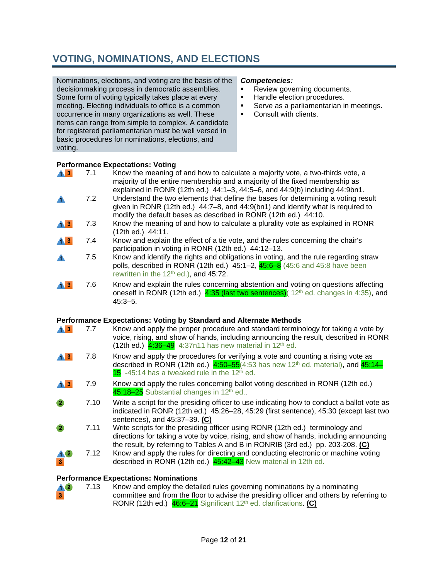## **VOTING, NOMINATIONS, AND ELECTIONS**

Nominations, elections, and voting are the basis of the decisionmaking process in democratic assemblies. Some form of voting typically takes place at every meeting. Electing individuals to office is a common occurrence in many organizations as well. These items can range from simple to complex. A candidate for registered parliamentarian must be well versed in basic procedures for nominations, elections, and voting.

#### *Competencies:*

- Review governing documents.<br>
Handle election procedures.
- Handle election procedures.
- **Serve as a parliamentarian in meetings.**
- **•** Consult with clients.

#### **Performance Expectations: Voting**

| $\mathbf{A}$ $\mathbf{B}$ | 7.1 | Know the meaning of and how to calculate a majority vote, a two-thirds vote, a<br>majority of the entire membership and a majority of the fixed membership as<br>explained in RONR (12th ed.) $44:1-3$ , $44:5-6$ , and $44:9(b)$ including $44:9bh1$ . |
|---------------------------|-----|---------------------------------------------------------------------------------------------------------------------------------------------------------------------------------------------------------------------------------------------------------|
|                           | 7.2 | Understand the two elements that define the bases for determining a voting result<br>given in RONR (12th ed.) 44:7-8, and 44:9(bn1) and identify what is required to<br>modify the default bases as described in RONR (12th ed.) 44:10.                 |
| <b>AB</b>                 | 7.3 | Know the meaning of and how to calculate a plurality vote as explained in RONR<br>$(12th$ ed.) $44:11$ .                                                                                                                                                |
| $\bf{A}$ $\bf{B}$         | 7.4 | Know and explain the effect of a tie vote, and the rules concerning the chair's<br>participation in voting in RONR (12th ed.) 44:12-13.                                                                                                                 |
|                           | 7.5 | Know and identify the rights and obligations in voting, and the rule regarding straw<br>polls, described in RONR (12th ed.) $45:1-2$ , $45:6-8$ (45:6 and 45:8 have been<br>rewritten in the 12 <sup>th</sup> ed.), and 45:72.                          |
|                           | 7.6 | Know and explain the rules concerning abstention and voting on questions affecting<br>oneself in RONR (12th ed.) 4:35 (last two sentences) (12 <sup>th</sup> ed. changes in 4:35), and<br>$45:3 - 5.$                                                   |

#### **Performance Expectations: Voting by Standard and Alternate Methods**

| $\bf{A}$ 3                | 7.7  | Know and apply the proper procedure and standard terminology for taking a vote by<br>voice, rising, and show of hands, including announcing the result, described in RONR<br>(12th ed.) $4:36-49$ 4:37n11 has new material in 12 <sup>th</sup> ed.                 |
|---------------------------|------|--------------------------------------------------------------------------------------------------------------------------------------------------------------------------------------------------------------------------------------------------------------------|
| $\mathbf{A}$ $\mathbf{B}$ | 7.8  | Know and apply the procedures for verifying a vote and counting a rising vote as<br>described in RONR (12th ed.) $4:50-55(4:53 \text{ has new } 12^{\text{th}} \text{ ed. material})$ , and $45:14-$<br>$15$ -45:14 has a tweaked rule in the 12 <sup>th</sup> ed. |
| A3                        | 7.9  | Know and apply the rules concerning ballot voting described in RONR (12th ed.)<br>45:18-25 Substantial changes in 12 <sup>th</sup> ed                                                                                                                              |
| $\left( 2\right)$         | 7.10 | Write a script for the presiding officer to use indicating how to conduct a ballot vote as<br>indicated in RONR (12th ed.) 45:26-28, 45:29 (first sentence), 45:30 (except last two<br>sentences), and 45:37-39. (C)                                               |
| 2                         | 7.11 | Write scripts for the presiding officer using RONR (12th ed.) terminology and<br>directions for taking a vote by voice, rising, and show of hands, including announcing<br>the result, by referring to Tables A and B in RONRIB (3rd ed.) pp. 203-208. (C)         |
| $\overline{\mathbf{3}}$   | 7.12 | Know and apply the rules for directing and conducting electronic or machine voting<br>described in RONR (12th ed.) 45:42-43 New material in 12th ed.                                                                                                               |

## **Performance Expectations: Nominations**<br>**A.2** 7.13 Know and employ the deta

3

Know and employ the detailed rules governing nominations by a nominating  $\bf{10}$ committee and from the floor to advise the presiding officer and others by referring to RONR (12th ed.) 46:6–21 Significant 12th ed. clarifications. **(C)**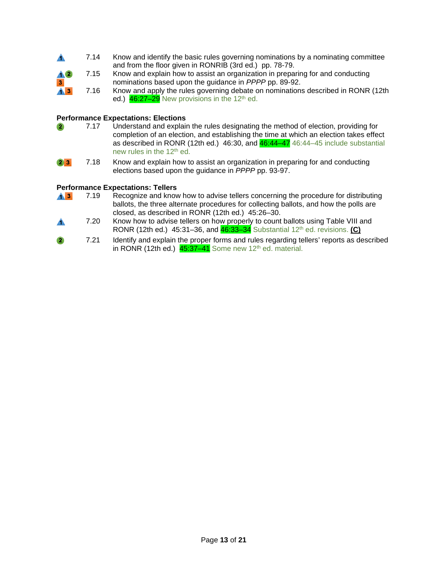|                         | 7.14 | Know and identify the basic rules governing nominations by a nominating committee |
|-------------------------|------|-----------------------------------------------------------------------------------|
|                         |      | and from the floor given in RONRIB (3rd ed.) pp. 78-79.                           |
| $\triangle$             | 7.15 | Know and explain how to assist an organization in preparing for and conducting    |
| $\overline{\mathbf{3}}$ |      | nominations based upon the guidance in PPPP pp. 89-92.                            |
| $\mathbf{A}$ 3          | 7.16 | Know and apply the rules governing debate on nominations described in RONR (12th  |
|                         |      | ed.) $46:27-29$ New provisions in the 12 <sup>th</sup> ed.                        |

## **Performance Expectations: Elections**<br>**2** 7.17 Understand and explair

- Understand and explain the rules designating the method of election, providing for  $\mathbf{2}$ completion of an election, and establishing the time at which an election takes effect as described in RONR (12th ed.) 46:30, and  $46:44-47$  46:44-45 include substantial new rules in the 12th ed.
- $2 \mid 3 \mid$ 7.18 Know and explain how to assist an organization in preparing for and conducting elections based upon the guidance in *PPPP* pp. 93-97.

#### **Performance Expectations: Tellers**

- $\mathbf{A}$  3 7.19 Recognize and know how to advise tellers concerning the procedure for distributing ballots, the three alternate procedures for collecting ballots, and how the polls are closed, as described in RONR (12th ed.) 45:26–30.
- 7.20 Know how to advise tellers on how properly to count ballots using Table VIII and A RONR (12th ed.) 45:31–36, and 46:33–34 Substantial 12th ed. revisions. **(C)**
- 7.21 Identify and explain the proper forms and rules regarding tellers' reports as described  $\bullet$ in RONR (12th ed.)  $45:37-41$  Some new 12<sup>th</sup> ed. material.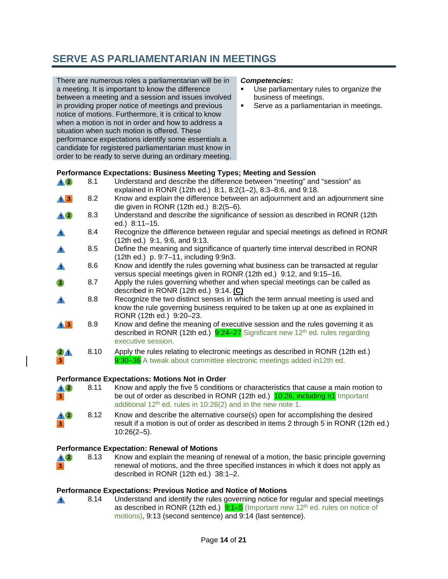### **SERVE AS PARLIAMENTARIAN IN MEETINGS**

There are numerous roles a parliamentarian will be in a meeting. It is important to know the difference between a meeting and a session and issues involved in providing proper notice of meetings and previous notice of motions. Furthermore, it is critical to know when a motion is not in order and how to address a situation when such motion is offered. These performance expectations identify some essentials a candidate for registered parliamentarian must know in order to be ready to serve during an ordinary meeting.

#### *Competencies:*

- Use parliamentary rules to organize the business of meetings.
- **Serve as a parliamentarian in meetings.**

#### **Performance Expectations: Business Meeting Types; Meeting and Session**

| <b>AO</b>                | 8.1  | Understand and describe the difference between "meeting" and "session" as<br>explained in RONR (12th ed.) 8:1, 8:2(1-2), 8:3-8:6, and 9:18.                                                         |
|--------------------------|------|-----------------------------------------------------------------------------------------------------------------------------------------------------------------------------------------------------|
| $\mathbf{A}$ 3           | 8.2  | Know and explain the difference between an adjournment and an adjournment sine<br>die given in RONR (12th ed.) 8:2(5-6).                                                                            |
| $\triangle 2$            | 8.3  | Understand and describe the significance of session as described in RONR (12th<br>ed.) 8:11-15.                                                                                                     |
| $\blacktriangle$         | 8.4  | Recognize the difference between regular and special meetings as defined in RONR<br>(12th ed.) 9:1, 9:6, and 9:13.                                                                                  |
| $\blacktriangle$         | 8.5  | Define the meaning and significance of quarterly time interval described in RONR<br>(12th ed.) p. 9:7-11, including 9:9n3.                                                                          |
| $\blacktriangle$         | 8.6  | Know and identify the rules governing what business can be transacted at regular<br>versus special meetings given in RONR (12th ed.) 9:12, and 9:15-16.                                             |
| $\overline{2}$           | 8.7  | Apply the rules governing whether and when special meetings can be called as<br>described in RONR $(12th ed.)$ 9:14. (C)                                                                            |
|                          | 8.8  | Recognize the two distinct senses in which the term annual meeting is used and<br>know the rule governing business required to be taken up at one as explained in<br>RONR (12th ed.) 9:20-23.       |
| $\triangle$ <sup>3</sup> | 8.9  | Know and define the meaning of executive session and the rules governing it as<br>described in RONR (12th ed.) $9:24-27$ Significant new 12 <sup>th</sup> ed. rules regarding<br>executive session. |
| 3 <sub>1</sub>           | 8.10 | Apply the rules relating to electronic meetings as described in RONR (12th ed.)<br>9:30-36 A tweak about committee electronic meetings added in12th ed.                                             |
|                          |      |                                                                                                                                                                                                     |

#### **Performance Expectations: Motions Not in Order**

| $\Lambda$ 2             | 8.11 | Know and apply the five 5 conditions or characteristics that cause a main motion to |  |
|-------------------------|------|-------------------------------------------------------------------------------------|--|
| $\overline{\mathbf{3}}$ |      | be out of order as described in RONR (12th ed.) 10:26, including n1 Important       |  |
|                         |      | additional $12th$ ed. rules in 10:26(2) and in the new note 1.                      |  |

 $\blacktriangle$ 2 8.12 Know and describe the alternative course(s) open for accomplishing the desired result if a motion is out of order as described in items 2 through 5 in RONR (12th ed.) -3 10:26(2–5).

#### **Performance Expectation: Renewal of Motions**

8.13 Know and explain the meaning of renewal of a motion, the basic principle governing **A2** renewal of motions, and the three specified instances in which it does not apply as described in RONR (12th ed.) 38:1–2.

## **Performance Expectations: Previous Notice and Notice of Motions**<br>**A** 8.14 Understand and identify the rules governing notice for

A

 $\bar{\mathbf{x}}$ 

Understand and identify the rules governing notice for regular and special meetings as described in RONR (12th ed.)  $9:1-5$  (Important new 12<sup>th</sup> ed. rules on notice of motions), 9:13 (second sentence) and 9:14 (last sentence).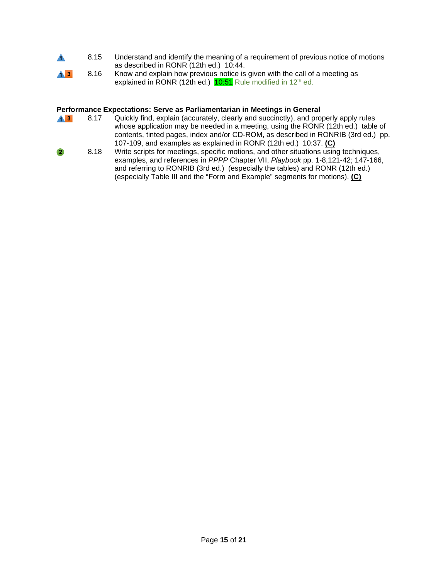- 8.15 Understand and identify the meaning of a requirement of previous notice of motions Â. as described in RONR (12th ed.) 10:44.
- $\overline{1}$   $\overline{3}$ 8.16 Know and explain how previous notice is given with the call of a meeting as explained in RONR (12th ed.)  $10:51$  Rule modified in 12<sup>th</sup> ed.

#### **Performance Expectations: Serve as Parliamentarian in Meetings in General**

- 8.17 Quickly find, explain (accurately, clearly and succinctly), and properly apply rules  $\overline{4}$  3 whose application may be needed in a meeting, using the RONR (12th ed.) table of contents, tinted pages, index and/or CD-ROM, as described in RONRIB (3rd ed.) pp. 107-109, and examples as explained in RONR (12th ed.) 10:37. **(C)**
- $\overline{\mathbf{2}}$ 8.18 Write scripts for meetings, specific motions, and other situations using techniques, examples, and references in *PPPP* Chapter VII, *Playbook* pp. 1-8,121-42; 147-166, and referring to RONRIB (3rd ed.) (especially the tables) and RONR (12th ed.) (especially Table III and the "Form and Example" segments for motions). **(C)**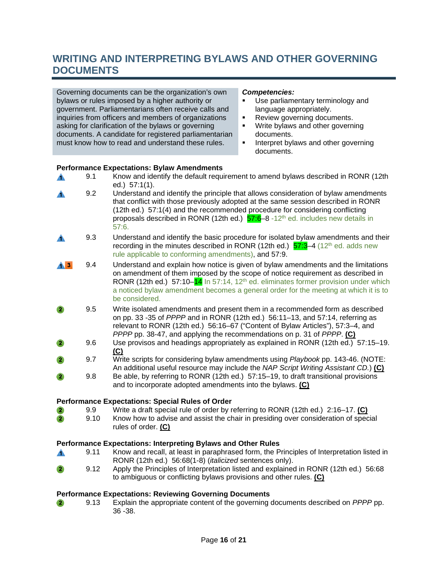### **WRITING AND INTERPRETING BYLAWS AND OTHER GOVERNING DOCUMENTS**

Governing documents can be the organization's own bylaws or rules imposed by a higher authority or government. Parliamentarians often receive calls and inquiries from officers and members of organizations asking for clarification of the bylaws or governing documents. A candidate for registered parliamentarian must know how to read and understand these rules.

#### *Competencies:*

- Use parliamentary terminology and language appropriately.
- **Review governing documents.**
- Write bylaws and other governing documents.
- **Interpret bylaws and other governing** documents.

## **Performance Expectations: Bylaw Amendments**<br>**All and Sensity Constants America** 9.1 Know and identify the default requi

- 9.1 Know and identify the default requirement to amend bylaws described in RONR (12th A ed.) 57:1(1). 9.2 Understand and identify the principle that allows consideration of bylaw amendments Δ. that conflict with those previously adopted at the same session described in RONR (12th ed.) 57:1(4) and the recommended procedure for considering conflicting proposals described in RONR (12th ed.)  $57.6-8$  -12<sup>th</sup> ed. includes new details in 57:6. 9.3 Understand and identify the basic procedure for isolated bylaw amendments and their Â. recording in the minutes described in RONR (12th ed.)  $\frac{57.3}{-}4$  (12<sup>th</sup> ed. adds new rule applicable to conforming amendments), and 57:9. 9.4 Understand and explain how notice is given of bylaw amendments and the limitations  $\blacktriangle$  3 on amendment of them imposed by the scope of notice requirement as described in RONR (12th ed.) 57:10– $14$  In 57:14, 12<sup>th</sup> ed. eliminates former provision under which a noticed bylaw amendment becomes a general order for the meeting at which it is to be considered.  $\overline{2}$ 9.5 Write isolated amendments and present them in a recommended form as described on pp. 33 -35 of *PPPP* and in RONR (12th ed.) 56:11–13, and 57:14, referring as relevant to RONR (12th ed.) 56:16–67 ("Content of Bylaw Articles"), 57:3–4, and *PPPP* pp. 38-47, and applying the recommendations on p. 31 of *PPPP*. **(C)** 9.6 Use provisos and headings appropriately as explained in RONR (12th ed.) 57:15–19. **(C)** 9.7 Write scripts for considering bylaw amendments using *Playbook* pp. 143-46. (NOTE: An additional useful resource may include the *NAP Script Writ*in*g Assistant CD.*) **(C)** 9.8 Be able, by referring to RONR (12th ed.) 57:15–19, to draft transitional provisions  $\mathbf{2}$ and to incorporate adopted amendments into the bylaws. **(C) Performance Expectations: Special Rules of Order**<br>**2** 9.9 Write a draft special rule of order by r 9.9 Write a draft special rule of order by referring to RONR (12th ed.) 2:16–17. **(C)**  $\bullet$
- Know how to advise and assist the chair in presiding over consideration of special  $\bullet$ rules of order. **(C)**

#### **Performance Expectations: Interpreting Bylaws and Other Rules**

- 9.11 Know and recall, at least in paraphrased form, the Principles of Interpretation listed in  $\blacktriangle$ RONR (12th ed.) 56:68(1-8) (*italicized* sentences only).
- $\bullet$ 9.12 Apply the Principles of Interpretation listed and explained in RONR (12th ed.) 56:68 to ambiguous or conflicting bylaws provisions and other rules. **(C)**

## **Performance Expectations: Reviewing Governing Documents**<br>**2** 9.13 Explain the appropriate content of the governing

9.13 Explain the appropriate content of the governing documents described on *PPPP* pp.  $\bullet$ 36 -38.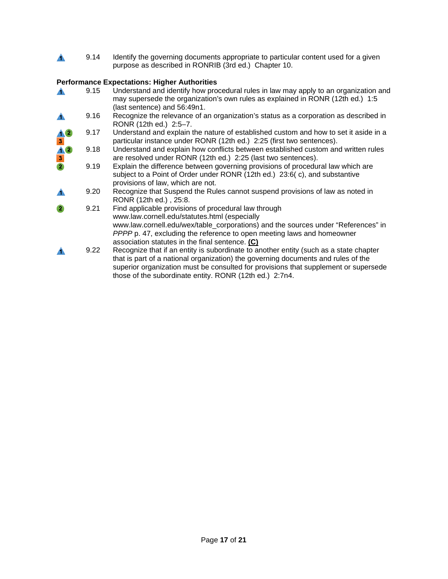$\blacktriangle$ 9.14 Identify the governing documents appropriate to particular content used for a given purpose as described in RONRIB (3rd ed.) Chapter 10.

### **Performance Expectations: Higher Authorities**

|                                          | 9.15 | Understand and identify how procedural rules in law may apply to an organization and<br>may supersede the organization's own rules as explained in RONR (12th ed.) 1:5                                                                                                                                                                                                          |
|------------------------------------------|------|---------------------------------------------------------------------------------------------------------------------------------------------------------------------------------------------------------------------------------------------------------------------------------------------------------------------------------------------------------------------------------|
|                                          | 9.16 | (last sentence) and 56:49n1.<br>Recognize the relevance of an organization's status as a corporation as described in<br>RONR (12th ed.) 2:5-7.                                                                                                                                                                                                                                  |
|                                          | 9.17 | Understand and explain the nature of established custom and how to set it aside in a<br>particular instance under RONR (12th ed.) 2:25 (first two sentences).                                                                                                                                                                                                                   |
| $\frac{1}{3}$<br>$\frac{1}{3}$<br>2<br>2 | 9.18 | Understand and explain how conflicts between established custom and written rules<br>are resolved under RONR (12th ed.) 2:25 (last two sentences).                                                                                                                                                                                                                              |
|                                          | 9.19 | Explain the difference between governing provisions of procedural law which are<br>subject to a Point of Order under RONR (12th ed.) 23:6(c), and substantive<br>provisions of law, which are not.                                                                                                                                                                              |
|                                          | 9.20 | Recognize that Suspend the Rules cannot suspend provisions of law as noted in<br>RONR (12th ed.), 25:8.                                                                                                                                                                                                                                                                         |
| $\bullet$                                | 9.21 | Find applicable provisions of procedural law through<br>www.law.cornell.edu/statutes.html (especially<br>www.law.cornell.edu/wex/table_corporations) and the sources under "References" in<br>PPPP p. 47, excluding the reference to open meeting laws and homeowner                                                                                                            |
|                                          | 9.22 | association statutes in the final sentence. (C)<br>Recognize that if an entity is subordinate to another entity (such as a state chapter<br>that is part of a national organization) the governing documents and rules of the<br>superior organization must be consulted for provisions that supplement or supersede<br>those of the subordinate entity. RONR (12th ed.) 2:7n4. |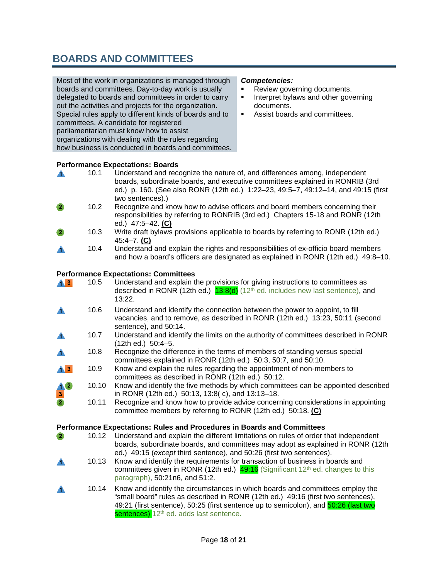### **BOARDS AND COMMITTEES**

Most of the work in organizations is managed through boards and committees. Day-to-day work is usually delegated to boards and committees in order to carry out the activities and projects for the organization. Special rules apply to different kinds of boards and to committees. A candidate for registered parliamentarian must know how to assist organizations with dealing with the rules regarding how business is conducted in boards and committees.

#### *Competencies:*

- Review governing documents.<br>Interpret bylaws and other governow
- Interpret bylaws and other governing documents.
- Assist boards and committees.

## **Performance Expectations: Boards**<br>**A** 10.1 Understand and reco

- Understand and recognize the nature of, and differences among, independent  $\blacktriangle$ boards, subordinate boards, and executive committees explained in RONRIB (3rd ed.) p. 160. (See also RONR (12th ed.) 1:22–23, 49:5–7, 49:12–14, and 49:15 (first two sentences).)
- 10.2 Recognize and know how to advise officers and board members concerning their  $\overline{2}$ responsibilities by referring to RONRIB (3rd ed.) Chapters 15-18 and RONR (12th ed.) 47:5–42. **(C)**
- 10.3 Write draft bylaws provisions applicable to boards by referring to RONR (12th ed.) 45:4–7. **(C)**
- 10.4 Understand and explain the rights and responsibilities of ex-officio board members and how a board's officers are designated as explained in RONR (12th ed.) 49:8–10.

#### **Performance Expectations: Committees**

| $\mathbf{A}$ 3 | 10.5  | Understand and explain the provisions for giving instructions to committees as<br>described in RONR (12th ed.) $13:8(d)$ (12 <sup>th</sup> ed. includes new last sentence), and<br>13:22.                                                                                                                       |
|----------------|-------|-----------------------------------------------------------------------------------------------------------------------------------------------------------------------------------------------------------------------------------------------------------------------------------------------------------------|
|                | 10.6  | Understand and identify the connection between the power to appoint, to fill<br>vacancies, and to remove, as described in RONR (12th ed.) 13:23, 50:11 (second<br>sentence), and 50:14.                                                                                                                         |
| ▲              | 10.7  | Understand and identify the limits on the authority of committees described in RONR<br>(12th ed.) 50:4-5.                                                                                                                                                                                                       |
| ▲              | 10.8  | Recognize the difference in the terms of members of standing versus special<br>committees explained in RONR (12th ed.) 50:3, 50:7, and 50:10.                                                                                                                                                                   |
| $\mathbf{A}$ 3 | 10.9  | Know and explain the rules regarding the appointment of non-members to<br>committees as described in RONR (12th ed.) 50:12.                                                                                                                                                                                     |
| $\frac{1}{3}$  | 10.10 | Know and identify the five methods by which committees can be appointed described<br>in RONR (12th ed.) 50:13, 13:8(c), and 13:13-18.                                                                                                                                                                           |
|                | 10.11 | Recognize and know how to provide advice concerning considerations in appointing<br>committee members by referring to RONR (12th ed.) 50:18. (C)                                                                                                                                                                |
|                |       | Performance Expectations: Rules and Procedures in Boards and Committees                                                                                                                                                                                                                                         |
| $\bullet$      | 10.12 | Understand and explain the different limitations on rules of order that independent<br>boards, subordinate boards, and committees may adopt as explained in RONR (12th<br>ed.) 49:15 (except third sentence), and 50:26 (first two sentences).                                                                  |
| А              | 10.13 | Know and identify the requirements for transaction of business in boards and<br>committees given in RONR (12th ed.) $49:16$ (Significant 12 <sup>th</sup> ed. changes to this<br>paragraph), 50:21n6, and 51:2.                                                                                                 |
| А              | 10.14 | Know and identify the circumstances in which boards and committees employ the<br>"small board" rules as described in RONR (12th ed.) 49:16 (first two sentences),<br>49:21 (first sentence), 50:25 (first sentence up to semicolon), and 50:26 (last two<br>sentences) 12 <sup>th</sup> ed. adds last sentence. |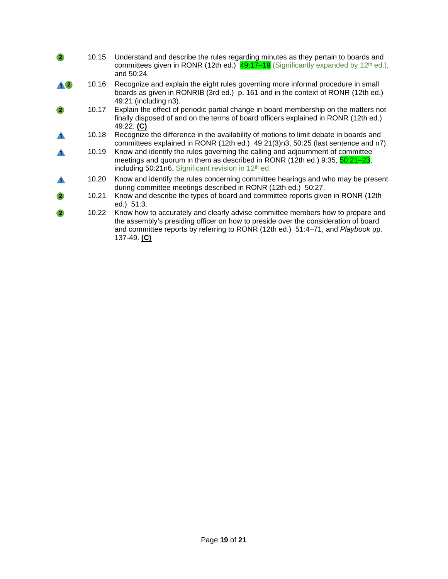| $\bullet$         | 10.15 | Understand and describe the rules regarding minutes as they pertain to boards and<br>committees given in RONR (12th ed.) $49:17-19$ (Significantly expanded by 12 <sup>th</sup> ed.),<br>and 50:24.                                                                    |
|-------------------|-------|------------------------------------------------------------------------------------------------------------------------------------------------------------------------------------------------------------------------------------------------------------------------|
|                   | 10.16 | Recognize and explain the eight rules governing more informal procedure in small<br>boards as given in RONRIB (3rd ed.) p. 161 and in the context of RONR (12th ed.)<br>49:21 (including n3).                                                                          |
| $\left( 2\right)$ | 10.17 | Explain the effect of periodic partial change in board membership on the matters not<br>finally disposed of and on the terms of board officers explained in RONR (12th ed.)<br>49:22. (C)                                                                              |
|                   | 10.18 | Recognize the difference in the availability of motions to limit debate in boards and<br>committees explained in RONR (12th ed.) 49:21(3)n3, 50:25 (last sentence and n7).                                                                                             |
|                   | 10.19 | Know and identify the rules governing the calling and adjournment of committee<br>meetings and quorum in them as described in RONR (12th ed.) 9:35, 50:21–23,<br>including 50:21n6. Significant revision in 12 <sup>th</sup> ed.                                       |
| ▲                 | 10.20 | Know and identify the rules concerning committee hearings and who may be present<br>during committee meetings described in RONR (12th ed.) 50:27.                                                                                                                      |
| $\bullet$         | 10.21 | Know and describe the types of board and committee reports given in RONR (12th<br>ed.) 51:3.                                                                                                                                                                           |
| $\mathbf{Z}$      | 10.22 | Know how to accurately and clearly advise committee members how to prepare and<br>the assembly's presiding officer on how to preside over the consideration of board<br>and committee reports by referring to RONR (12th ed.) 51:4–71, and Playbook pp.<br>137-49. (C) |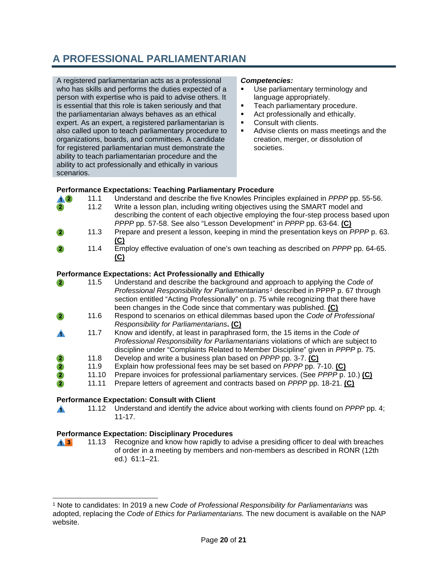## **A PROFESSIONAL PARLIAMENTARIAN**

A registered parliamentarian acts as a professional who has skills and performs the duties expected of a person with expertise who is paid to advise others. It is essential that this role is taken seriously and that the parliamentarian always behaves as an ethical expert. As an expert, a registered parliamentarian is also called upon to teach parliamentary procedure to organizations, boards, and committees. A candidate for registered parliamentarian must demonstrate the ability to teach parliamentarian procedure and the ability to act professionally and ethically in various scenarios.

#### *Competencies:*

- Use parliamentary terminology and language appropriately.
- **Teach parliamentary procedure.**
- Act professionally and ethically.
- **Consult with clients.**
- Advise clients on mass meetings and the creation, merger, or dissolution of societies.

#### **Performance Expectations: Teaching Parliamentary Procedure**

- 11.1 Understand and describe the five Knowles Principles explained in *PPPP* pp. 55-56. **A2** 
	- 11.2 Write a lesson plan, including writing objectives using the SMART model and describing the content of each objective employing the four-step process based upon *PPPP* pp. 57-58. See also "Lesson Development" in *PPPP* pp. 63-64. **(C)**
- 11.3 Prepare and present a lesson, keeping in mind the presentation keys on *PPPP* p. 63. **(C)**
- 11.4 Employ effective evaluation of one's own teaching as described on *PPPP* pp. 64-65. **(C)**

#### **Performance Expectations: Act Professionally and Ethically**

|                                                     | 11.5  | Understand and describe the background and approach to applying the Code of<br>Professional Responsibility for Parliamentarians <sup>1</sup> described in PPPP p. 67 through<br>section entitled "Acting Professionally" on p. 75 while recognizing that there have<br>been changes in the Code since that commentary was published. (C) |
|-----------------------------------------------------|-------|------------------------------------------------------------------------------------------------------------------------------------------------------------------------------------------------------------------------------------------------------------------------------------------------------------------------------------------|
|                                                     | 11.6  | Respond to scenarios on ethical dilemmas based upon the Code of Professional<br>Responsibility for Parliamentarians. (C)                                                                                                                                                                                                                 |
|                                                     | 11.7  | Know and identify, at least in paraphrased form, the 15 items in the Code of<br>Professional Responsibility for Parliamentarians violations of which are subject to<br>discipline under "Complaints Related to Member Discipline" given in PPPP p. 75.                                                                                   |
| $\bullet$                                           | 11.8  | Develop and write a business plan based on PPPP pp. 3-7. (C)                                                                                                                                                                                                                                                                             |
| $\begin{array}{c}\n2 \\ 2\n\end{array}$             | 11.9  | Explain how professional fees may be set based on <i>PPPP</i> pp. 7-10. (C)                                                                                                                                                                                                                                                              |
|                                                     | 11.10 | Prepare invoices for professional parliamentary services. (See PPPP p. 10.) (C)                                                                                                                                                                                                                                                          |
|                                                     | 11.11 | Prepare letters of agreement and contracts based on <i>PPPP</i> pp. 18-21. (C)                                                                                                                                                                                                                                                           |
| <b>Performance Expectation: Consult with Client</b> |       |                                                                                                                                                                                                                                                                                                                                          |
|                                                     | 11.12 | Understand and identify the advice about working with clients found on <i>PPPP</i> pp. 4;<br>11-17.                                                                                                                                                                                                                                      |

#### **Performance Expectation: Disciplinary Procedures**

11.13 Recognize and know how rapidly to advise a presiding officer to deal with breaches  $\mathbf{A}$   $\mathbf{B}$ of order in a meeting by members and non-members as described in RONR (12th ed.) 61:1–21.

<span id="page-19-0"></span><sup>1</sup> Note to candidates: In 2019 a new *Code of Professional Responsibility for Parliamentarians* was adopted, replacing the *Code of Ethics for Parliamentarians.* The new document is available on the NAP website.